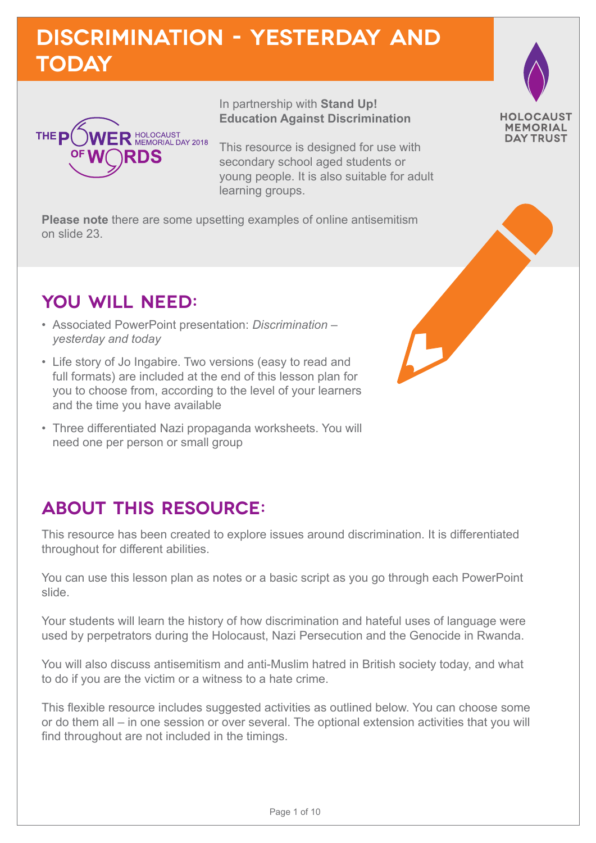## **Discrimination - yesterday and today**



In partnership with **Stand Up! Education Against Discrimination**

This resource is designed for use with secondary school aged students or young people. It is also suitable for adult learning groups.

**Please note** there are some upsetting examples of online antisemitism on slide 23.

## **YOU WILL NEED:**

- Associated PowerPoint presentation: *Discrimination yesterday and today*
- Life story of Jo Ingabire. Two versions (easy to read and full formats) are included at the end of this lesson plan for you to choose from, according to the level of your learners and the time you have available
- Three differentiated Nazi propaganda worksheets. You will need one per person or small group

## **ABOUT THIS RESOURCE:**

This resource has been created to explore issues around discrimination. It is differentiated throughout for different abilities.

You can use this lesson plan as notes or a basic script as you go through each PowerPoint slide.

Your students will learn the history of how discrimination and hateful uses of language were used by perpetrators during the Holocaust, Nazi Persecution and the Genocide in Rwanda.

You will also discuss antisemitism and anti-Muslim hatred in British society today, and what to do if you are the victim or a witness to a hate crime.

This flexible resource includes suggested activities as outlined below. You can choose some or do them all – in one session or over several. The optional extension activities that you will find throughout are not included in the timings.

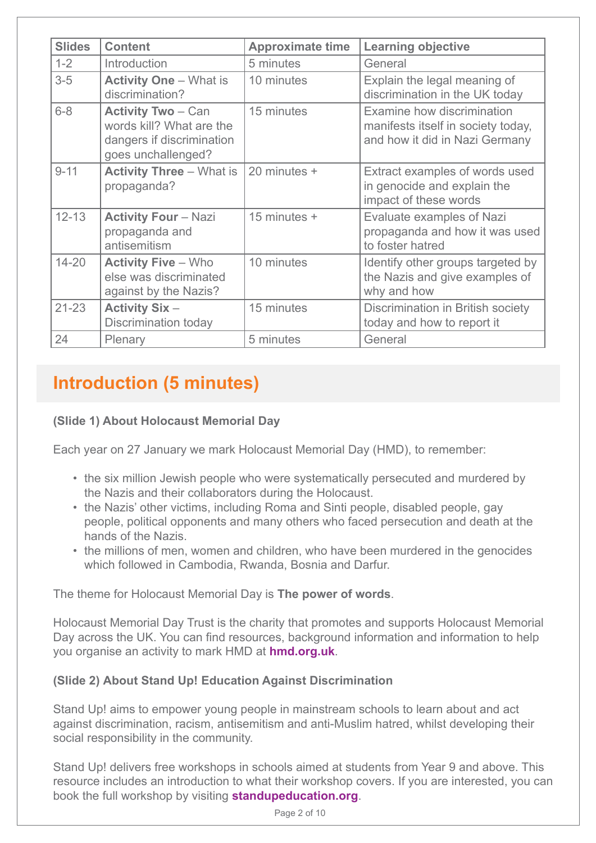| <b>Slides</b> | <b>Content</b>                                                                                           | <b>Approximate time</b> | <b>Learning objective</b>                                                                          |
|---------------|----------------------------------------------------------------------------------------------------------|-------------------------|----------------------------------------------------------------------------------------------------|
| $1 - 2$       | Introduction                                                                                             | 5 minutes               | General                                                                                            |
| $3-5$         | <b>Activity One - What is</b><br>discrimination?                                                         | 10 minutes              | Explain the legal meaning of<br>discrimination in the UK today                                     |
| $6 - 8$       | <b>Activity Two - Can</b><br>words kill? What are the<br>dangers if discrimination<br>goes unchallenged? | 15 minutes              | Examine how discrimination<br>manifests itself in society today,<br>and how it did in Nazi Germany |
| $9 - 11$      | <b>Activity Three - What is</b><br>propaganda?                                                           | 20 minutes +            | Extract examples of words used<br>in genocide and explain the<br>impact of these words             |
| $12 - 13$     | <b>Activity Four - Nazi</b><br>propaganda and<br>antisemitism                                            | 15 minutes +            | Evaluate examples of Nazi<br>propaganda and how it was used<br>to foster hatred                    |
| $14 - 20$     | <b>Activity Five - Who</b><br>else was discriminated<br>against by the Nazis?                            | 10 minutes              | Identify other groups targeted by<br>the Nazis and give examples of<br>why and how                 |
| $21 - 23$     | <b>Activity Six-</b><br><b>Discrimination today</b>                                                      | 15 minutes              | Discrimination in British society<br>today and how to report it                                    |
| 24            | Plenary                                                                                                  | 5 minutes               | General                                                                                            |

## **Introduction (5 minutes)**

#### **(Slide 1) About Holocaust Memorial Day**

Each year on 27 January we mark Holocaust Memorial Day (HMD), to remember:

- the six million Jewish people who were systematically persecuted and murdered by the Nazis and their collaborators during the Holocaust.
- the Nazis' other victims, including Roma and Sinti people, disabled people, gay people, political opponents and many others who faced persecution and death at the hands of the Nazis.
- the millions of men, women and children, who have been murdered in the genocides which followed in Cambodia, Rwanda, Bosnia and Darfur.

The theme for Holocaust Memorial Day is **The power of words**.

Holocaust Memorial Day Trust is the charity that promotes and supports Holocaust Memorial Day across the UK. You can find resources, background information and information to help you organise an activity to mark HMD at **[hmd.org.uk](http://hmd.org.uk)**.

#### **(Slide 2) About Stand Up! Education Against Discrimination**

Stand Up! aims to empower young people in mainstream schools to learn about and act against discrimination, racism, antisemitism and anti-Muslim hatred, whilst developing their social responsibility in the community.

Stand Up! delivers free workshops in schools aimed at students from Year 9 and above. This resource includes an introduction to what their workshop covers. If you are interested, you can book the full workshop by visiting **[standupeducation.org](http://standupeducation.org)**.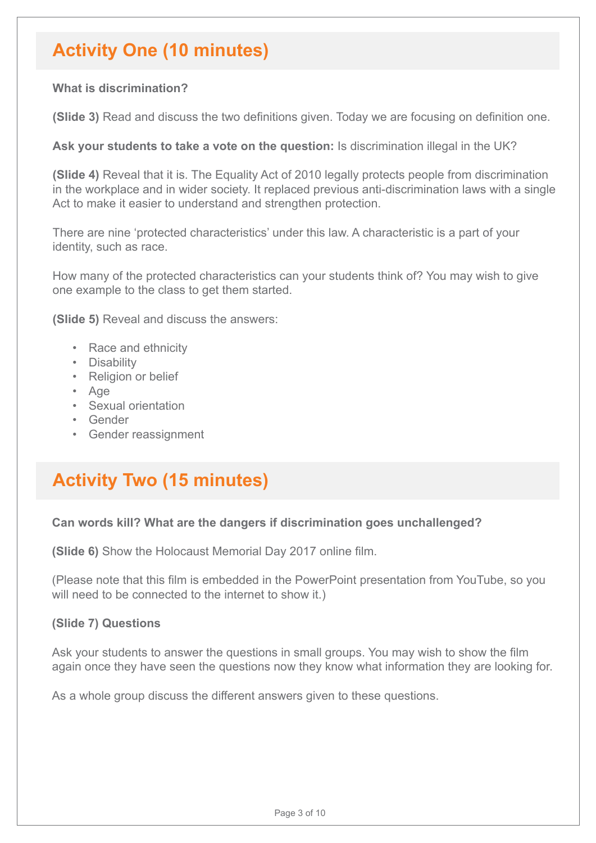## **Activity One (10 minutes)**

#### **What is discrimination?**

**(Slide 3)** Read and discuss the two definitions given. Today we are focusing on definition one.

**Ask your students to take a vote on the question:** Is discrimination illegal in the UK?

**(Slide 4)** Reveal that it is. The Equality Act of 2010 legally protects people from discrimination in the workplace and in wider society. It replaced previous anti-discrimination laws with a single Act to make it easier to understand and strengthen protection.

There are nine 'protected characteristics' under this law. A characteristic is a part of your identity, such as race.

How many of the protected characteristics can your students think of? You may wish to give one example to the class to get them started.

**(Slide 5)** Reveal and discuss the answers:

- Race and ethnicity
- Disability
- Religion or belief
- Age
- Sexual orientation
- Gender
- Gender reassignment

## **Activity Two (15 minutes)**

#### **Can words kill? What are the dangers if discrimination goes unchallenged?**

**(Slide 6)** Show the Holocaust Memorial Day 2017 online film.

(Please note that this film is embedded in the PowerPoint presentation from YouTube, so you will need to be connected to the internet to show it.)

#### **(Slide 7) Questions**

Ask your students to answer the questions in small groups. You may wish to show the film again once they have seen the questions now they know what information they are looking for.

As a whole group discuss the different answers given to these questions.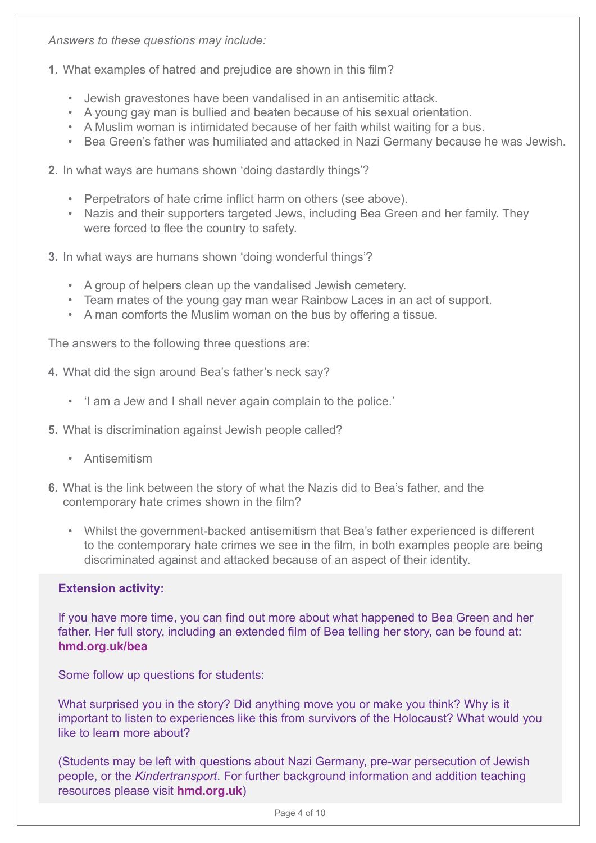*Answers to these questions may include:* 

- **1.** What examples of hatred and prejudice are shown in this film?
	- Jewish gravestones have been vandalised in an antisemitic attack.
	- A young gay man is bullied and beaten because of his sexual orientation.
	- A Muslim woman is intimidated because of her faith whilst waiting for a bus.
	- Bea Green's father was humiliated and attacked in Nazi Germany because he was Jewish.
- **2.** In what ways are humans shown 'doing dastardly things'?
	- Perpetrators of hate crime inflict harm on others (see above).
	- Nazis and their supporters targeted Jews, including Bea Green and her family. They were forced to flee the country to safety.
- **3.** In what ways are humans shown 'doing wonderful things'?
	- A group of helpers clean up the vandalised Jewish cemetery.
	- Team mates of the young gay man wear Rainbow Laces in an act of support.
	- A man comforts the Muslim woman on the bus by offering a tissue.

The answers to the following three questions are:

- **4.** What did the sign around Bea's father's neck say?
	- 'I am a Jew and I shall never again complain to the police.'
- **5.** What is discrimination against Jewish people called?
	- Antisemitism
- **6.** What is the link between the story of what the Nazis did to Bea's father, and the contemporary hate crimes shown in the film?
	- Whilst the government-backed antisemitism that Bea's father experienced is different to the contemporary hate crimes we see in the film, in both examples people are being discriminated against and attacked because of an aspect of their identity.

#### **Extension activity:**

If you have more time, you can find out more about what happened to Bea Green and her father. Her full story, including an extended film of Bea telling her story, can be found at: **[hmd.org.uk/bea](http://hmd.org.uk/bea)**

Some follow up questions for students:

What surprised you in the story? Did anything move you or make you think? Why is it important to listen to experiences like this from survivors of the Holocaust? What would you like to learn more about?

(Students may be left with questions about Nazi Germany, pre-war persecution of Jewish people, or the *Kindertransport*. For further background information and addition teaching resources please visit **[hmd.org.uk](http://hmd.org.uk)**)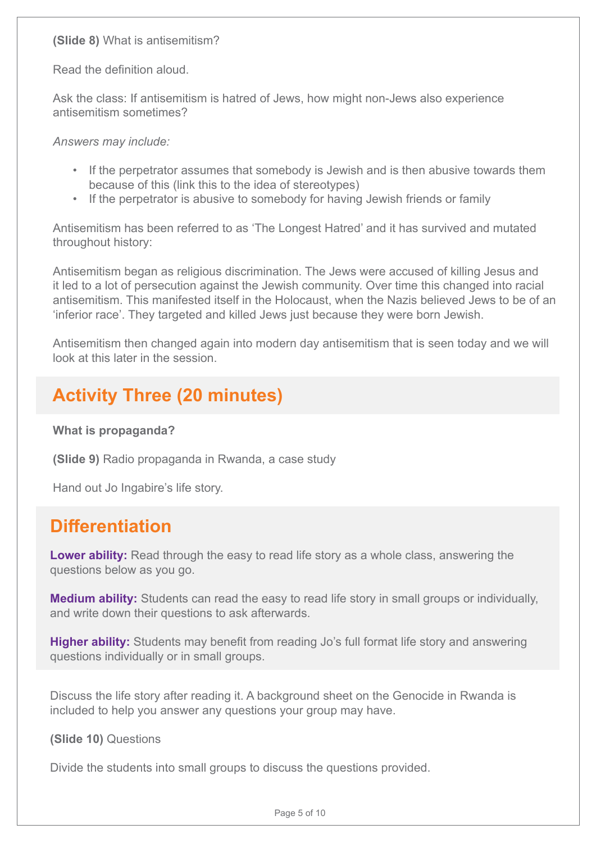**(Slide 8)** What is antisemitism?

Read the definition aloud.

Ask the class: If antisemitism is hatred of Jews, how might non-Jews also experience antisemitism sometimes?

*Answers may include:* 

- If the perpetrator assumes that somebody is Jewish and is then abusive towards them because of this (link this to the idea of stereotypes)
- If the perpetrator is abusive to somebody for having Jewish friends or family

Antisemitism has been referred to as 'The Longest Hatred' and it has survived and mutated throughout history:

Antisemitism began as religious discrimination. The Jews were accused of killing Jesus and it led to a lot of persecution against the Jewish community. Over time this changed into racial antisemitism. This manifested itself in the Holocaust, when the Nazis believed Jews to be of an 'inferior race'. They targeted and killed Jews just because they were born Jewish.

Antisemitism then changed again into modern day antisemitism that is seen today and we will look at this later in the session.

## **Activity Three (20 minutes)**

**What is propaganda?**

**(Slide 9)** Radio propaganda in Rwanda, a case study

Hand out Jo Ingabire's life story.

## **Differentiation**

**Lower ability:** Read through the easy to read life story as a whole class, answering the questions below as you go.

**Medium ability:** Students can read the easy to read life story in small groups or individually, and write down their questions to ask afterwards.

**Higher ability:** Students may benefit from reading Jo's full format life story and answering questions individually or in small groups.

Discuss the life story after reading it. A background sheet on the Genocide in Rwanda is included to help you answer any questions your group may have.

**(Slide 10)** Questions

Divide the students into small groups to discuss the questions provided.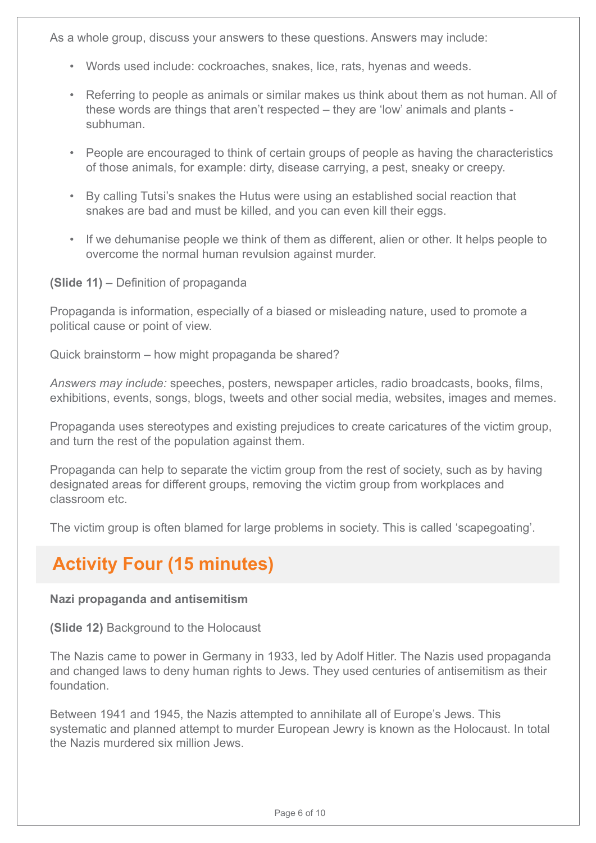As a whole group, discuss your answers to these questions. Answers may include:

- Words used include: cockroaches, snakes, lice, rats, hyenas and weeds.
- Referring to people as animals or similar makes us think about them as not human. All of these words are things that aren't respected – they are 'low' animals and plants subhuman.
- People are encouraged to think of certain groups of people as having the characteristics of those animals, for example: dirty, disease carrying, a pest, sneaky or creepy.
- By calling Tutsi's snakes the Hutus were using an established social reaction that snakes are bad and must be killed, and you can even kill their eggs.
- If we dehumanise people we think of them as different, alien or other. It helps people to overcome the normal human revulsion against murder.

**(Slide 11)** – Definition of propaganda

Propaganda is information, especially of a biased or misleading nature, used to promote a political cause or point of view.

Quick brainstorm – how might propaganda be shared?

*Answers may include:* speeches, posters, newspaper articles, radio broadcasts, books, films, exhibitions, events, songs, blogs, tweets and other social media, websites, images and memes.

Propaganda uses stereotypes and existing prejudices to create caricatures of the victim group, and turn the rest of the population against them.

Propaganda can help to separate the victim group from the rest of society, such as by having designated areas for different groups, removing the victim group from workplaces and classroom etc.

The victim group is often blamed for large problems in society. This is called 'scapegoating'.

## **Activity Four (15 minutes)**

#### **Nazi propaganda and antisemitism**

**(Slide 12)** Background to the Holocaust

The Nazis came to power in Germany in 1933, led by Adolf Hitler. The Nazis used propaganda and changed laws to deny human rights to Jews. They used centuries of antisemitism as their foundation.

Between 1941 and 1945, the Nazis attempted to annihilate all of Europe's Jews. This systematic and planned attempt to murder European Jewry is known as the Holocaust. In total the Nazis murdered six million Jews.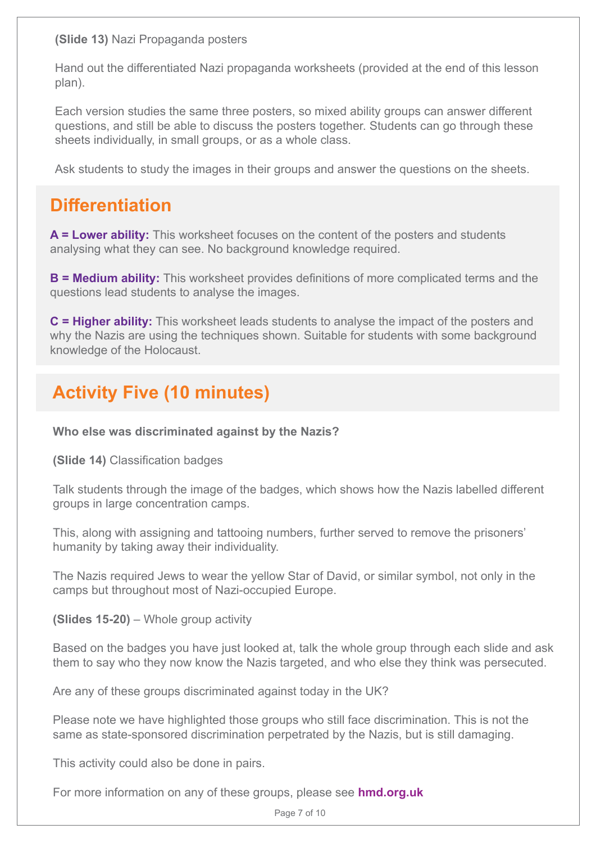**(Slide 13)** Nazi Propaganda posters

Hand out the differentiated Nazi propaganda worksheets (provided at the end of this lesson plan).

Each version studies the same three posters, so mixed ability groups can answer different questions, and still be able to discuss the posters together. Students can go through these sheets individually, in small groups, or as a whole class.

Ask students to study the images in their groups and answer the questions on the sheets.

## **Differentiation**

**A = Lower ability:** This worksheet focuses on the content of the posters and students analysing what they can see. No background knowledge required.

**B = Medium ability:** This worksheet provides definitions of more complicated terms and the questions lead students to analyse the images.

**C = Higher ability:** This worksheet leads students to analyse the impact of the posters and why the Nazis are using the techniques shown. Suitable for students with some background knowledge of the Holocaust.

## **Activity Five (10 minutes)**

**Who else was discriminated against by the Nazis?**

**(Slide 14)** Classification badges

Talk students through the image of the badges, which shows how the Nazis labelled different groups in large concentration camps.

This, along with assigning and tattooing numbers, further served to remove the prisoners' humanity by taking away their individuality.

The Nazis required Jews to wear the yellow Star of David, or similar symbol, not only in the camps but throughout most of Nazi-occupied Europe.

**(Slides 15-20)** – Whole group activity

Based on the badges you have just looked at, talk the whole group through each slide and ask them to say who they now know the Nazis targeted, and who else they think was persecuted.

Are any of these groups discriminated against today in the UK?

Please note we have highlighted those groups who still face discrimination. This is not the same as state-sponsored discrimination perpetrated by the Nazis, but is still damaging.

This activity could also be done in pairs.

For more information on any of these groups, please see **[hmd.org.uk](http://hmd.org.uk)**

Page 7 of 10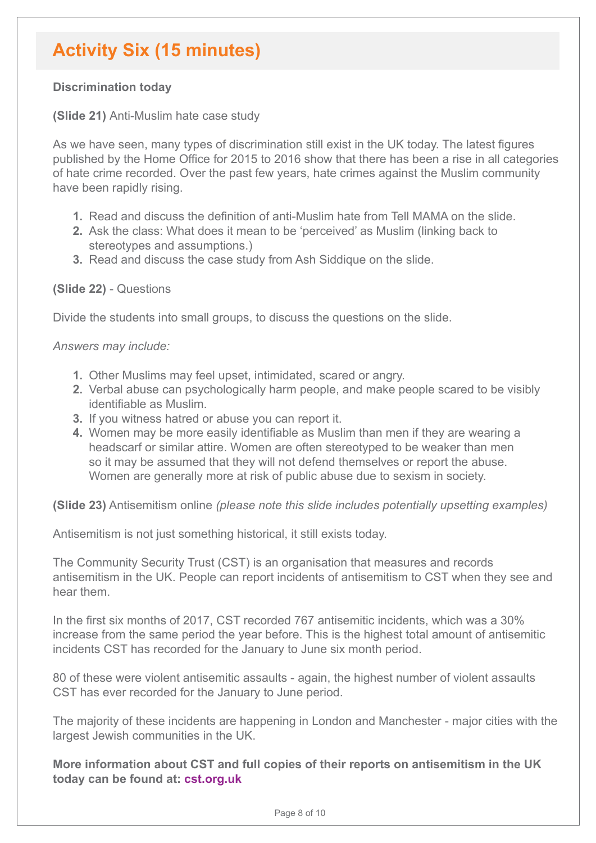## **Activity Six (15 minutes)**

#### **Discrimination today**

#### **(Slide 21)** Anti-Muslim hate case study

As we have seen, many types of discrimination still exist in the UK today. The latest figures published by the Home Office for 2015 to 2016 show that there has been a rise in all categories of hate crime recorded. Over the past few years, hate crimes against the Muslim community have been rapidly rising.

- **1.** Read and discuss the definition of anti-Muslim hate from Tell MAMA on the slide.
- **2.** Ask the class: What does it mean to be 'perceived' as Muslim (linking back to stereotypes and assumptions.)
- **3.** Read and discuss the case study from Ash Siddique on the slide.

#### **(Slide 22)** - Questions

Divide the students into small groups, to discuss the questions on the slide.

#### *Answers may include:*

- **1.** Other Muslims may feel upset, intimidated, scared or angry.
- **2.** Verbal abuse can psychologically harm people, and make people scared to be visibly identifiable as Muslim.
- **3.** If you witness hatred or abuse you can report it.
- **4.** Women may be more easily identifiable as Muslim than men if they are wearing a headscarf or similar attire. Women are often stereotyped to be weaker than men so it may be assumed that they will not defend themselves or report the abuse. Women are generally more at risk of public abuse due to sexism in society.

**(Slide 23)** Antisemitism online *(please note this slide includes potentially upsetting examples)*

Antisemitism is not just something historical, it still exists today.

The Community Security Trust (CST) is an organisation that measures and records antisemitism in the UK. People can report incidents of antisemitism to CST when they see and hear them.

In the first six months of 2017, CST recorded 767 antisemitic incidents, which was a 30% increase from the same period the year before. This is the highest total amount of antisemitic incidents CST has recorded for the January to June six month period.

80 of these were violent antisemitic assaults - again, the highest number of violent assaults CST has ever recorded for the January to June period.

The majority of these incidents are happening in London and Manchester - major cities with the largest Jewish communities in the UK.

**More information about CST and full copies of their reports on antisemitism in the UK today can be found at: [cst.org.uk](http://cst.org.uk)**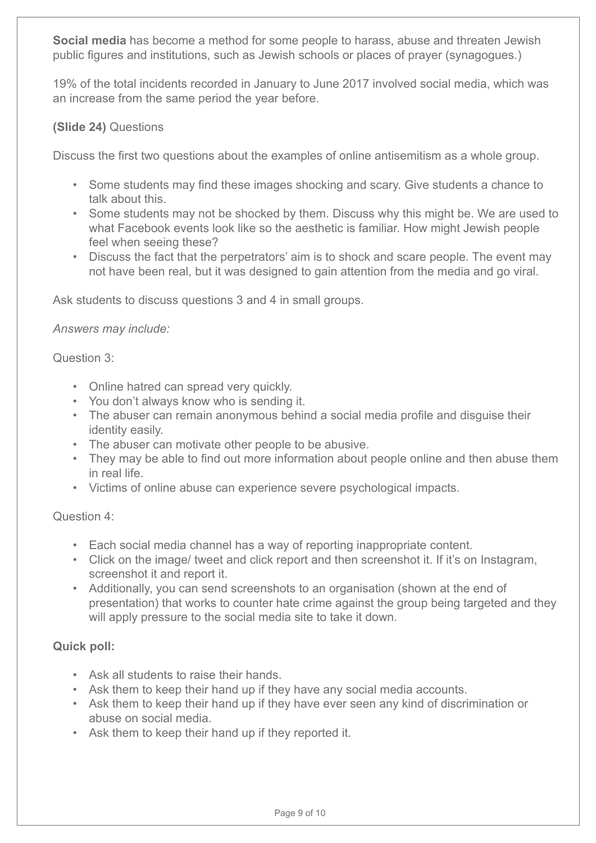**Social media** has become a method for some people to harass, abuse and threaten Jewish public figures and institutions, such as Jewish schools or places of prayer (synagogues.)

19% of the total incidents recorded in January to June 2017 involved social media, which was an increase from the same period the year before.

#### **(Slide 24)** Questions

Discuss the first two questions about the examples of online antisemitism as a whole group.

- Some students may find these images shocking and scary. Give students a chance to talk about this.
- Some students may not be shocked by them. Discuss why this might be. We are used to what Facebook events look like so the aesthetic is familiar. How might Jewish people feel when seeing these?
- Discuss the fact that the perpetrators' aim is to shock and scare people. The event may not have been real, but it was designed to gain attention from the media and go viral.

Ask students to discuss questions 3 and 4 in small groups.

*Answers may include:* 

Question 3:

- Online hatred can spread very quickly.
- You don't always know who is sending it.
- The abuser can remain anonymous behind a social media profile and disguise their identity easily.
- The abuser can motivate other people to be abusive.
- They may be able to find out more information about people online and then abuse them in real life.
- Victims of online abuse can experience severe psychological impacts.

Question 4:

- Each social media channel has a way of reporting inappropriate content.
- Click on the image/ tweet and click report and then screenshot it. If it's on Instagram, screenshot it and report it.
- Additionally, you can send screenshots to an organisation (shown at the end of presentation) that works to counter hate crime against the group being targeted and they will apply pressure to the social media site to take it down.

#### **Quick poll:**

- Ask all students to raise their hands.
- Ask them to keep their hand up if they have any social media accounts.
- Ask them to keep their hand up if they have ever seen any kind of discrimination or abuse on social media.
- Ask them to keep their hand up if they reported it.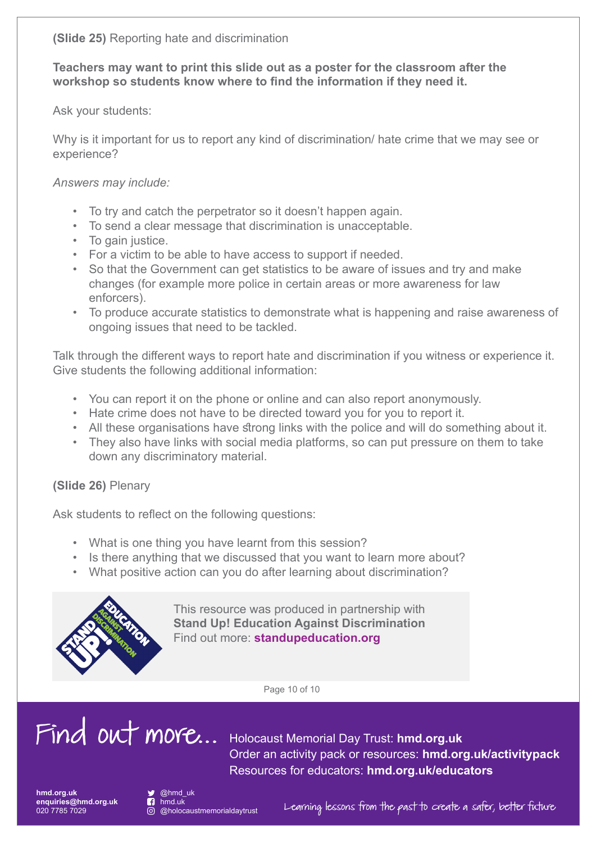**(Slide 25)** Reporting hate and discrimination

**Teachers may want to print this slide out as a poster for the classroom after the workshop so students know where to find the information if they need it.**

Ask your students:

Why is it important for us to report any kind of discrimination/ hate crime that we may see or experience?

*Answers may include:* 

- To try and catch the perpetrator so it doesn't happen again.
- To send a clear message that discrimination is unacceptable.
- To gain justice.
- For a victim to be able to have access to support if needed.
- So that the Government can get statistics to be aware of issues and try and make changes (for example more police in certain areas or more awareness for law enforcers).
- To produce accurate statistics to demonstrate what is happening and raise awareness of ongoing issues that need to be tackled.

Talk through the different ways to report hate and discrimination if you witness or experience it. Give students the following additional information:

- You can report it on the phone or online and can also report anonymously.
- Hate crime does not have to be directed toward you for you to report it.
- All these organisations have strong links with the police and will do something about it.
- They also have links with social media platforms, so can put pressure on them to take down any discriminatory material.

**(Slide 26)** Plenary

Ask students to reflect on the following questions:

- What is one thing you have learnt from this session?
- Is there anything that we discussed that you want to learn more about?
- What positive action can you do after learning about discrimination?



This resource was produced in partnership with **Stand Up! Education Against Discrimination** Find out more: **[standupeducation.org](http://standupeducation.org)**

Page 10 of 10

# Find out more... Holocaust Memorial Day Trust: **[hmd.org.uk](http://hmd.org.uk)**

Order an activity pack or resources: **[hmd.org.uk/activitypack](http://hmd.org.uk/activitypack)** Resources for educators: **[hmd.org.uk/educators](http://hmd.org.uk/educators)**

**[hmd.org.uk](http://hmd.org.uk) enquiries@hmd.org.uk** 020 7785 7029



nmd.uk<br>
<br> **i** @holocaustmemorialdavtrust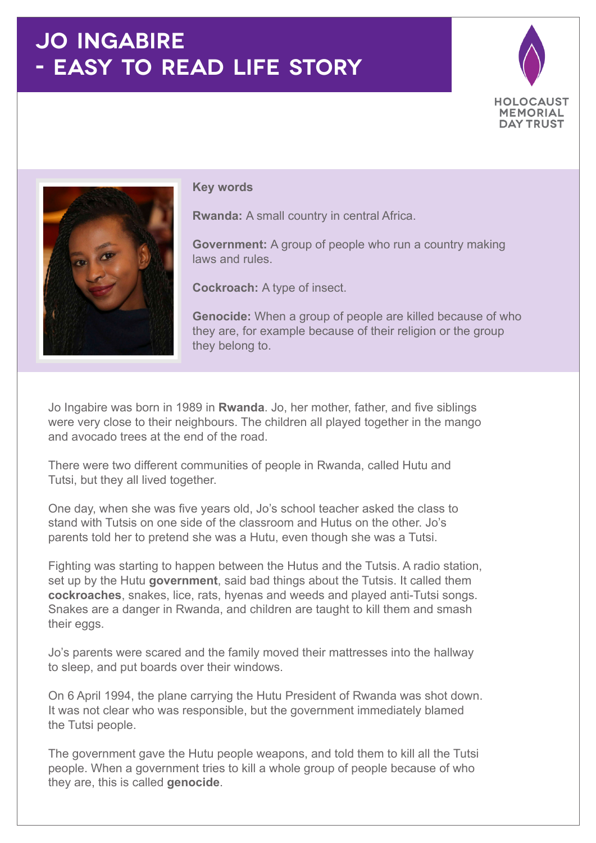## **JO INGABIRE - EASY TO READ LIFE STORY**





#### **Key words**

**Rwanda:** A small country in central Africa.

**Government:** A group of people who run a country making laws and rules.

**Cockroach:** A type of insect.

**Genocide:** When a group of people are killed because of who they are, for example because of their religion or the group they belong to.

Jo Ingabire was born in 1989 in **Rwanda**. Jo, her mother, father, and five siblings were very close to their neighbours. The children all played together in the mango and avocado trees at the end of the road.

There were two different communities of people in Rwanda, called Hutu and Tutsi, but they all lived together.

One day, when she was five years old, Jo's school teacher asked the class to stand with Tutsis on one side of the classroom and Hutus on the other. Jo's parents told her to pretend she was a Hutu, even though she was a Tutsi.

Fighting was starting to happen between the Hutus and the Tutsis. A radio station, set up by the Hutu **government**, said bad things about the Tutsis. It called them **cockroaches**, snakes, lice, rats, hyenas and weeds and played anti-Tutsi songs. Snakes are a danger in Rwanda, and children are taught to kill them and smash their eggs.

Jo's parents were scared and the family moved their mattresses into the hallway to sleep, and put boards over their windows.

On 6 April 1994, the plane carrying the Hutu President of Rwanda was shot down. It was not clear who was responsible, but the government immediately blamed the Tutsi people.

The government gave the Hutu people weapons, and told them to kill all the Tutsi people. When a government tries to kill a whole group of people because of who they are, this is called **genocide**.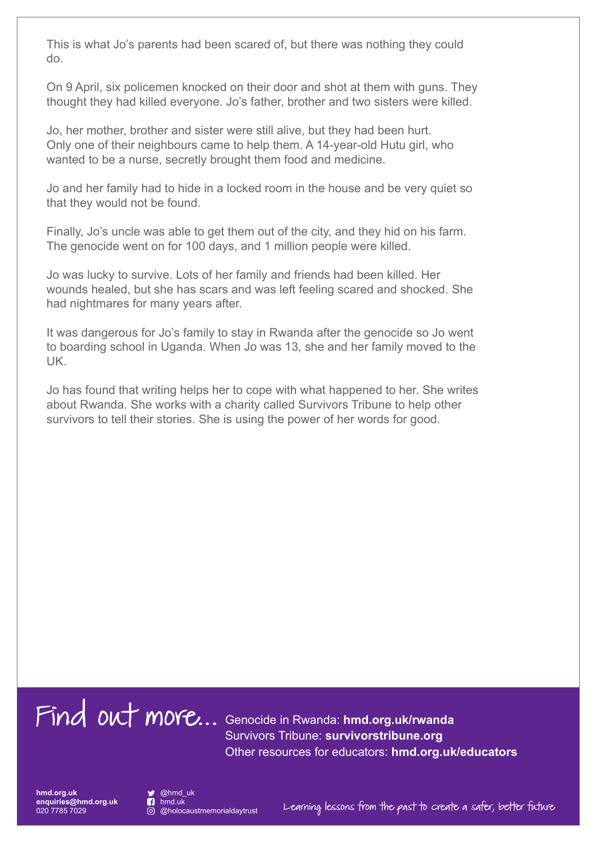This is what Jo's parents had been scared of, but there was nothing they could do.

On 9 April, six policemen knocked on their door and shot at them with guns. They thought they had killed everyone. Jo's father, brother and two sisters were killed.

Jo, her mother, brother and sister were still alive, but they had been hurt. Only one of their neighbours came to help them. A 14-year-old Hutu girl, who wanted to be a nurse, secretly brought them food and medicine.

Jo and her family had to hide in a locked room in the house and be very quiet so that they would not be found.

Finally, Jo's uncle was able to get them out of the city, and they hid on his farm. The genocide went on for 100 days, and 1 million people were killed.

Jo was lucky to survive. Lots of her family and friends had been killed. Her wounds healed, but she has scars and was left feeling scared and shocked. She had nightmares for many years after.

It was dangerous for Jo's family to stay in Rwanda after the genocide so Jo went to boarding school in Uganda. When Jo was 13, she and her family moved to the UK.

Jo has found that writing helps her to cope with what happened to her. She writes about Rwanda. She works with a charity called Survivors Tribune to help other survivors to tell their stories. She is using the power of her words for good.

Find out more... Genocide in Rwanda: **[hmd.org.uk/rwanda](http://hmd.org.uk/rwanda)** Survivors Tribune: **[survivorstribune.org](http://www.survivorstribune.org/)** Other resources for educators: **[hmd.org.uk/educators](http://hmd.org.uk/educators)**

**hmd.org.uk enquiries@hmd.org.uk** 020 7785 7029

 @hmd\_uk **R** hmd.uk

@holocaustmemorialdaytrust Learning lessons from the past to create a safer, better future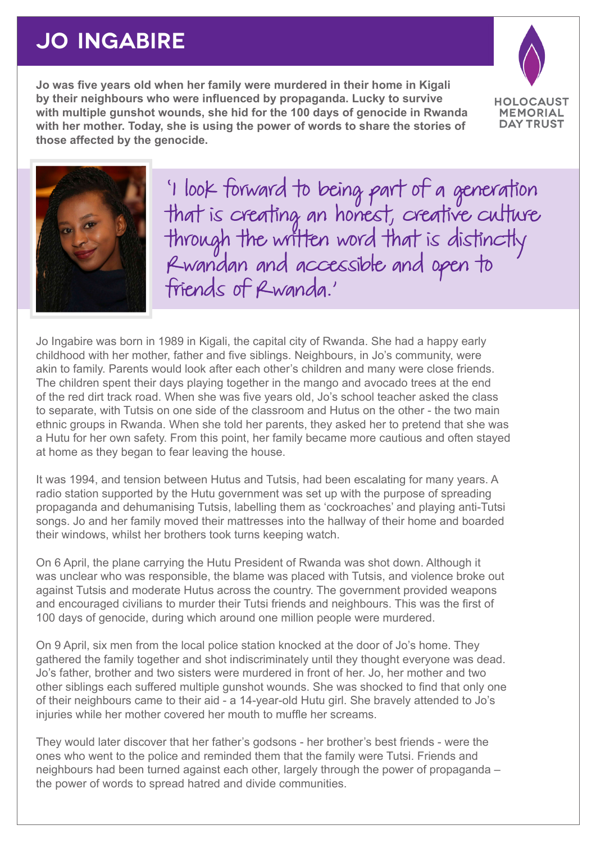## **JO INGABIRE**

**Jo was five years old when her family were murdered in their home in Kigali by their neighbours who were influenced by propaganda. Lucky to survive with multiple gunshot wounds, she hid for the 100 days of genocide in Rwanda with her mother. Today, she is using the power of words to share the stories of those affected by the genocide.**





'I look forward to being part of a generation that is creating an honest, creative culture through the written word that is distinctly Rwandan and accessible and open to friends of Rwanda.'

Jo Ingabire was born in 1989 in Kigali, the capital city of Rwanda. She had a happy early childhood with her mother, father and five siblings. Neighbours, in Jo's community, were akin to family. Parents would look after each other's children and many were close friends. The children spent their days playing together in the mango and avocado trees at the end of the red dirt track road. When she was five years old, Jo's school teacher asked the class to separate, with Tutsis on one side of the classroom and Hutus on the other - the two main ethnic groups in Rwanda. When she told her parents, they asked her to pretend that she was a Hutu for her own safety. From this point, her family became more cautious and often stayed at home as they began to fear leaving the house.

It was 1994, and tension between Hutus and Tutsis, had been escalating for many years. A radio station supported by the Hutu government was set up with the purpose of spreading propaganda and dehumanising Tutsis, labelling them as 'cockroaches' and playing anti-Tutsi songs. Jo and her family moved their mattresses into the hallway of their home and boarded their windows, whilst her brothers took turns keeping watch.

On 6 April, the plane carrying the Hutu President of Rwanda was shot down. Although it was unclear who was responsible, the blame was placed with Tutsis, and violence broke out against Tutsis and moderate Hutus across the country. The government provided weapons and encouraged civilians to murder their Tutsi friends and neighbours. This was the first of 100 days of genocide, during which around one million people were murdered.

On 9 April, six men from the local police station knocked at the door of Jo's home. They gathered the family together and shot indiscriminately until they thought everyone was dead. Jo's father, brother and two sisters were murdered in front of her. Jo, her mother and two other siblings each suffered multiple gunshot wounds. She was shocked to find that only one of their neighbours came to their aid - a 14-year-old Hutu girl. She bravely attended to Jo's injuries while her mother covered her mouth to muffle her screams.

They would later discover that her father's godsons - her brother's best friends - were the ones who went to the police and reminded them that the family were Tutsi. Friends and neighbours had been turned against each other, largely through the power of propaganda – the power of words to spread hatred and divide communities.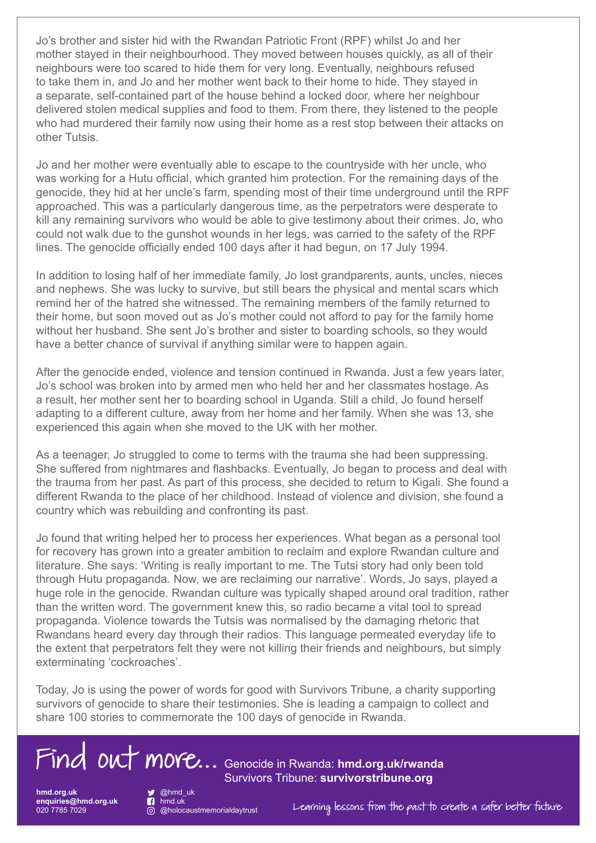Jo's brother and sister hid with the Rwandan Patriotic Front (RPF) whilst Jo and her mother stayed in their neighbourhood. They moved between houses quickly, as all of their neighbours were too scared to hide them for very long. Eventually, neighbours refused to take them in, and Jo and her mother went back to their home to hide. They stayed in a separate, self-contained part of the house behind a locked door, where her neighbour delivered stolen medical supplies and food to them. From there, they listened to the people who had murdered their family now using their home as a rest stop between their attacks on other Tutsis.

Jo and her mother were eventually able to escape to the countryside with her uncle, who was working for a Hutu official, which granted him protection. For the remaining days of the genocide, they hid at her uncle's farm, spending most of their time underground until the RPF approached. This was a particularly dangerous time, as the perpetrators were desperate to kill any remaining survivors who would be able to give testimony about their crimes. Jo, who could not walk due to the gunshot wounds in her legs, was carried to the safety of the RPF lines. The genocide officially ended 100 days after it had begun, on 17 July 1994.

In addition to losing half of her immediate family, Jo lost grandparents, aunts, uncles, nieces and nephews. She was lucky to survive, but still bears the physical and mental scars which remind her of the hatred she witnessed. The remaining members of the family returned to their home, but soon moved out as Jo's mother could not afford to pay for the family home without her husband. She sent Jo's brother and sister to boarding schools, so they would have a better chance of survival if anything similar were to happen again.

After the genocide ended, violence and tension continued in Rwanda. Just a few years later, Jo's school was broken into by armed men who held her and her classmates hostage. As a result, her mother sent her to boarding school in Uganda. Still a child, Jo found herself adapting to a different culture, away from her home and her family. When she was 13, she experienced this again when she moved to the UK with her mother.

As a teenager, Jo struggled to come to terms with the trauma she had been suppressing. She suffered from nightmares and flashbacks. Eventually, Jo began to process and deal with the trauma from her past. As part of this process, she decided to return to Kigali. She found a different Rwanda to the place of her childhood. Instead of violence and division, she found a country which was rebuilding and confronting its past.

Jo found that writing helped her to process her experiences. What began as a personal tool for recovery has grown into a greater ambition to reclaim and explore Rwandan culture and literature. She says: 'Writing is really important to me. The Tutsi story had only been told through Hutu propaganda. Now, we are reclaiming our narrative'. Words, Jo says, played a huge role in the genocide. Rwandan culture was typically shaped around oral tradition, rather than the written word. The government knew this, so radio became a vital tool to spread propaganda. Violence towards the Tutsis was normalised by the damaging rhetoric that Rwandans heard every day through their radios. This language permeated everyday life to the extent that perpetrators felt they were not killing their friends and neighbours, but simply exterminating 'cockroaches'.

Today, Jo is using the power of words for good with Survivors Tribune, a charity supporting survivors of genocide to share their testimonies. She is leading a campaign to collect and share 100 stories to commemorate the 100 days of genocide in Rwanda.



**hmd.org.uk hmd.org.uk enquiries@hmd.org.uk enquiries@hmd.org.uk** 020 7785 7029 020 7785 7029

 @hmd\_uk @hmd\_uk hmd.uk hmd.uk

Survivors Tribune: **[survivorstribune.org](http://survivorstribune.org)**

@holocaustmemorialdaytrust

Learning lessons from the past to create a safer better future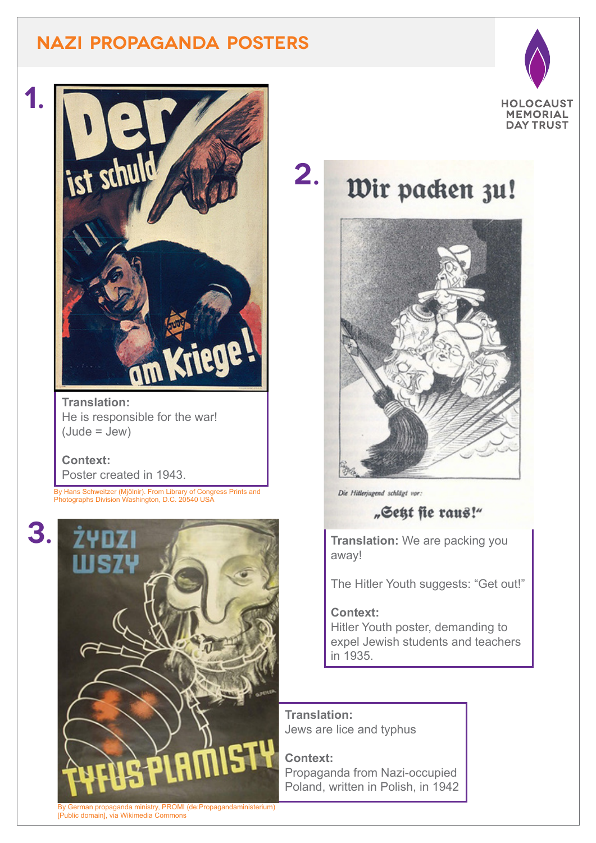## **NAZI PROPAGANDA POSTERS**





**Translation:** He is responsible for the war! (Jude = Jew)

#### **Context:**

Poster created in 1943.

By Hans Schweitzer (Mjölnir). From Library of Congress Prints and Photographs Division Washington, D.C. 20540 USA





## **2.** Wir packen zu!



Die Hitlerjugend schlägt vor:

### "Sett fie raus!"

**Translation:** We are packing you away!

The Hitler Youth suggests: "Get out!"

#### **Context:**

Hitler Youth poster, demanding to expel Jewish students and teachers in 1935.

#### **Translation:**  Jews are lice and typhus

**Context:**  Propaganda from Nazi-occupied Poland, written in Polish, in 1942

German propaganda ministry, PROMI (de:Propagandaministerium) [Public domain], via Wikimedia Commons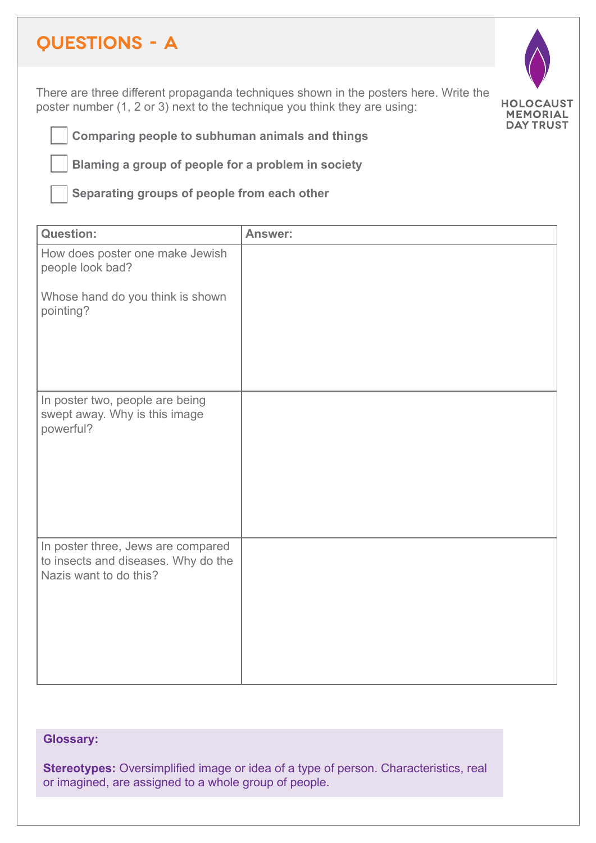## **QUESTIONS - A**

There are three different propaganda techniques shown in the posters here. Write the poster number (1, 2 or 3) next to the technique you think they are using:



**Comparing people to subhuman animals and things**

**Blaming a group of people for a problem in society**

**Separating groups of people from each other**

| <b>Question:</b>                                                                                    | Answer: |
|-----------------------------------------------------------------------------------------------------|---------|
| How does poster one make Jewish<br>people look bad?                                                 |         |
| Whose hand do you think is shown<br>pointing?                                                       |         |
|                                                                                                     |         |
| In poster two, people are being<br>swept away. Why is this image<br>powerful?                       |         |
| In poster three, Jews are compared<br>to insects and diseases. Why do the<br>Nazis want to do this? |         |

#### **Glossary:**

**Stereotypes:** Oversimplified image or idea of a type of person. Characteristics, real or imagined, are assigned to a whole group of people.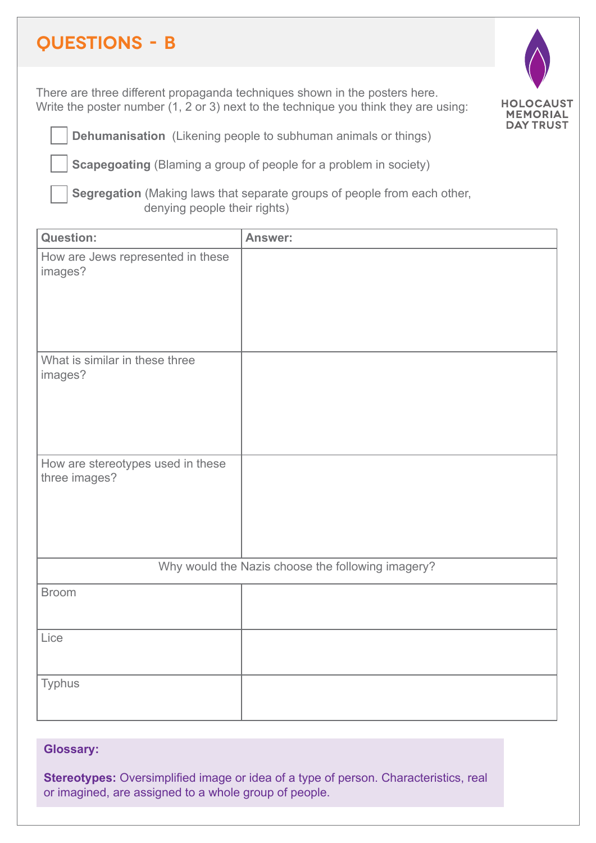## **QUESTIONS - B**

There are three different propaganda techniques shown in the posters here. Write the poster number (1, 2 or 3) next to the technique you think they are using:



**Dehumanisation** (Likening people to subhuman animals or things)

**Scapegoating** (Blaming a group of people for a problem in society)

**Segregation** (Making laws that separate groups of people from each other, denying people their rights)

| <b>Question:</b>                                   | <b>Answer:</b> |  |
|----------------------------------------------------|----------------|--|
| How are Jews represented in these<br>images?       |                |  |
| What is similar in these three<br>images?          |                |  |
| How are stereotypes used in these<br>three images? |                |  |
| Why would the Nazis choose the following imagery?  |                |  |
| <b>Broom</b>                                       |                |  |
| Lice                                               |                |  |
| <b>Typhus</b>                                      |                |  |

#### **Glossary:**

**Stereotypes:** Oversimplified image or idea of a type of person. Characteristics, real or imagined, are assigned to a whole group of people.